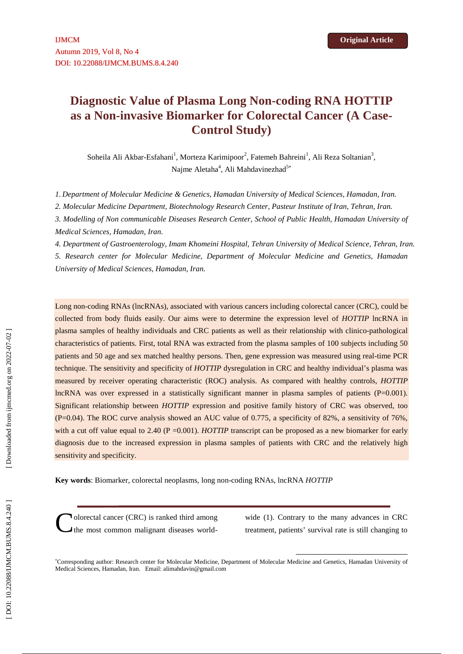# **Diagnostic Value of Plasma Long Non-coding RNA HOTTIP as a Non-invasive Biomarker for Colorectal Cancer (A Case- Control Study)**

Soheila Ali Akbar-Esfahani<sup>1</sup>, Morteza Karimipoor<sup>2</sup>, Fatemeh Bahreini<sup>1</sup>, Ali Reza Soltanian<sup>3</sup>, Najme Aletaha<sup>4</sup>, Ali Mahdavinezhad<sup>5\*</sup>

*1. Department of Molecular Medicine & Genetics, Hamadan University of Medical Sciences, Hamadan, Iran.*

*2. Molecular Medicine Department, Biotechnology Research Center, Pasteur Institute of Iran, Tehran, Iran.*

*3. Modelling of Non communicable Diseases Research Center, School of Public Health, Hamadan University of Medical Sciences, Hamadan, Iran.*

*4. Department of Gastroenterology, Imam Khomeini Hospital, Tehran University of Medical Science, Tehran, Iran.*

*5. Research center for Molecular Medicine, Department of Molecular Medicine and Genetics, Hamadan University of Medical Sciences, Hamadan, Iran.*

Long non-coding RNAs (lncRNAs), associated with various cancers including colorectal cancer (CRC), could be collected from body fluids easily. Our aims were to determine the expression level of *HOTTIP* lncRNA in plasma samples of healthy individuals and CRC patients as well as their relationship with clinico-pathological characteristics of patients. First, total RNA was extracted from the plasma samples of 100 subjects including 50 patients and 50 age and sex matched healthy persons. Then, gene expression was measured using real-time PCR technique. The sensitivity and specificity of *HOTTIP* dysregulation in CRC and healthy individual's plasma was measured by receiver operating characteristic (ROC) analysis. As compared with healthy controls, *HOTTIP* lncRNA was over expressed in a statistically significant manner in plasma samples of patients  $(P=0.001)$ . Significant relationship between *HOTTIP* expression and positive family history of CRC was observed, too (P=0.04). The ROC curve analysis showed an AUC value of 0.775, a specificity of 82%, a sensitivity of 76%, with a cut off value equal to 2.40 (P = 0.001). *HOTTIP* transcript can be proposed as a new biomarker for early diagnosis due to the increased expression in plasma samples of patients with CRC and the relatively high sensitivity and specificity.

**Key words**: Biomarker, colorectal neoplasms, long non-coding RNAs, lncRNA *HOTTIP*

**Volorectal cancer (CRC) is ranked third among** wide (1). Contrary to the many advances in CRC

the most common malignant diseases world-<br>treatment, patients' survival rate is still changing to

Corresponding author: Research center for Molecular Medicine, Department of Molecular Medicine and Genetics, Hamadan University of Medical Sciences, Hamadan, Iran. Email: alimahdavin@gmail.com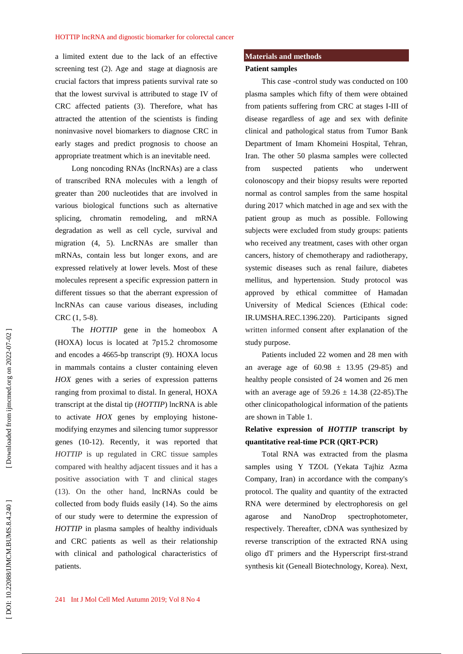a limited extent due to the lack of an effective screening test (2). Age and stage at diagnosis are crucial factors that impress patients survival rate so that the lowest survival is attributed to stage IV of CRC affected patients (3). Therefore, what has attracted the attention of the scientists is finding noninvasive novel biomarkers to diagnose CRC in early stages and predict prognosis to choose an appropriate treatment which is an inevitable need.

Long noncoding RNAs (lncRNAs) are a class of transcribed RNA molecules with a length of greater than 200 nucleotides that are involved in various biological functions such as alternative splicing, chromatin remodeling, and mRNA degradation as well as cell cycle, survival and migration (4, 5). LncRNAs are smaller than mRNAs, contain less but longer exons, and are expressed relatively at lower levels. Most of these molecules represent a specific expression pattern in different tissues so that the aberrant expression of lncRNAs can cause various diseases, including CRC (1, 5-8).

The *HOTTIP* gene in the homeobox A (HOXA) locus is located at 7p15.2 chromosome and encodes a 4665-bp transcript (9). HOXA locus in mammals contains a cluster containing eleven *HOX* genes with a series of expression patterns ranging from proximal to distal. In general, HOXA transcript at the distal tip (*HOTTIP*) lncRNA is able to activate *HOX* genes by employing histone modifying enzymes and silencing tumor suppressor genes (10-12). Recently, it was reported that *HOTTIP* is up regulated in CRC tissue samples compared with healthy adjacent tissues and it has a positive association with T and clinical stages (13). On the other hand, lncRNAs could be collected from body fluids easily (14). So the aims of our study were to determine the expression of *HOTTIP* in plasma samples of healthy individuals and CRC patients as well as their relationship with clinical and pathological characteristics of patients.

#### **Materials and methods**

#### **Patient samples**

This case -control study was conducted on 100 plasma samples which fifty of them were obtained from patients suffering from CRC at stages I-III of disease regardless of age and sex with definite clinical and pathological status from Tumor Bank Department of Imam Khomeini Hospital, Tehran, Iran. The other 50 plasma samples were collected from suspected patients who underwent colonoscopy and their biopsy results were reported normal as control samples from the same hospital during 2017 which matched in age and sex with the patient group as much as possible. Following subjects were excluded from study groups: patients who received any treatment, cases with other organ cancers, history of chemotherapy and radiotherapy, systemic diseases such as renal failure, diabetes mellitus, and hypertension. Study protocol was approved by ethical committee of Hamadan University of Medical Sciences (Ethical code: IR.UMSHA.REC.1396.220). Participants signed written informed consent after explanation of the study purpose.

Patients included 22 women and 28 men with an average age of  $60.98 \pm 13.95$  (29-85) and healthy people consisted of 24 women and 26 men with an average age of  $59.26 \pm 14.38$  (22-85). The other clinicopathological information of the patients are shown in Table 1.

# **Relative expression of** *HOTTIP* **transcript by quantitative real-time PCR (QRT-PCR)**

Total RNA was extracted from the plasma samples using Y TZOL (Yekata Tajhiz Azma Company, Iran) in accordance with the company's protocol. The quality and quantity of the extracted RNA were determined by electrophoresis on gel agarose and NanoDrop spectrophotometer, respectively. Thereafter, cDNA was synthesized by reverse transcription of the extracted RNA using oligo dT primers and the Hyperscript first-strand synthesis kit (Geneall Biotechnology, Korea). Next,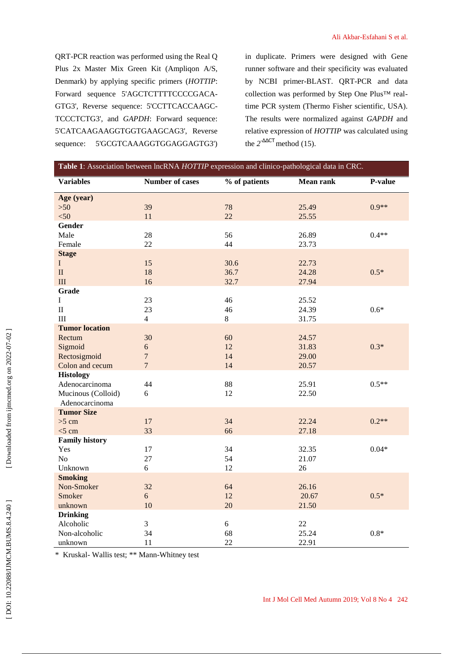QRT-PCR reaction was performed using the Real Q Plus 2x Master Mix Green Kit (Ampliqon A/S, Denmark) by applying specific primers (*HOTTIP*: Forward sequence 5'AGCTCTTTTCCCCGACA- GTG3', Reverse sequence: 5'CCTTCACCAAGC- TCCCTCTG3', and *GAPDH*: Forward sequence: 5'CATCAAGAAGGTGGTGAAGCAG3', Reverse sequence: 5'GCGTCAAAGGTGGAGGAGTG3')

in duplicate. Primers were designed with Gene runner software and their specificity was evaluated by NCBI primer-BLAST. QRT-PCR and data collection was performed by Step One Plus™ realtime PCR system (Thermo Fisher scientific, USA). The results were normalized against *GAPDH* and relative expression of *HOTTIP* was calculated using the  $2^{-CT}$  method (15).

| Table 1: Association between lncRNA <i>HOTTIP</i> expression and clinico-pathological data in CRC. |                        |               |                  |         |
|----------------------------------------------------------------------------------------------------|------------------------|---------------|------------------|---------|
| <b>Variables</b>                                                                                   | <b>Number of cases</b> | % of patients | <b>Mean rank</b> | P-value |
| Age (year)                                                                                         |                        |               |                  |         |
| $>50$                                                                                              | 39                     | 78            | 25.49            | $0.9**$ |
| $50$<br>Gender                                                                                     | 11                     | 22            | 25.55            |         |
| Male                                                                                               | 28                     | 56            | 26.89            | $0.4**$ |
| Female                                                                                             | 22                     | 44            | 23.73            |         |
| <b>Stage</b>                                                                                       |                        |               |                  |         |
| $\mathbf{I}$                                                                                       | 15                     | 30.6          | 22.73            |         |
| $\mathbf{I}$                                                                                       | 18                     | 36.7          | 24.28            | $0.5*$  |
| III                                                                                                | 16                     | 32.7          | 27.94            |         |
| Grade                                                                                              |                        |               |                  |         |
| $\overline{I}$                                                                                     | 23                     | 46            | 25.52            |         |
| $\rm II$                                                                                           | 23                     | 46            | 24.39            | $0.6*$  |
| $\rm III$                                                                                          | $\overline{4}$         | 8             | 31.75            |         |
| <b>Tumor location</b>                                                                              |                        |               |                  |         |
| Rectum                                                                                             | 30                     | 60            | 24.57            |         |
| Sigmoid                                                                                            | $\boldsymbol{6}$       | 12            | 31.83            | $0.3*$  |
| Rectosigmoid                                                                                       | $\overline{7}$         | 14            | 29.00            |         |
| Colon and cecum                                                                                    | $\overline{7}$         | 14            | 20.57            |         |
| <b>Histology</b>                                                                                   |                        |               |                  |         |
| Adenocarcinoma                                                                                     | 44                     | 88            | 25.91            | $0.5**$ |
| Mucinous (Colloid)                                                                                 | 6                      | 12            | 22.50            |         |
| Adenocarcinoma                                                                                     |                        |               |                  |         |
| <b>Tumor Size</b><br>$>5$ cm                                                                       | 17                     | 34            | 22.24            | $0.2**$ |
| $<$ 5 cm                                                                                           | 33                     | 66            | 27.18            |         |
| <b>Family history</b>                                                                              |                        |               |                  |         |
| Yes                                                                                                | 17                     | 34            | 32.35            | $0.04*$ |
| No                                                                                                 | 27                     | 54            | 21.07            |         |
| Unknown                                                                                            | 6                      | 12            | 26               |         |
| <b>Smoking</b>                                                                                     |                        |               |                  |         |
| Non-Smoker                                                                                         | 32                     | 64            | 26.16            |         |
| Smoker                                                                                             | 6                      | 12            | 20.67            | $0.5*$  |
| unknown                                                                                            | 10                     | 20            | 21.50            |         |
| <b>Drinking</b>                                                                                    |                        |               |                  |         |
| Alcoholic                                                                                          | 3                      | 6             | 22               |         |
| Non-alcoholic                                                                                      | 34                     | 68            | 25.24            | $0.8*$  |
| unknown                                                                                            | 11                     | 22            | 22.91            |         |

\* Kruskal- Wallis test; \*\* Mann-Whitney test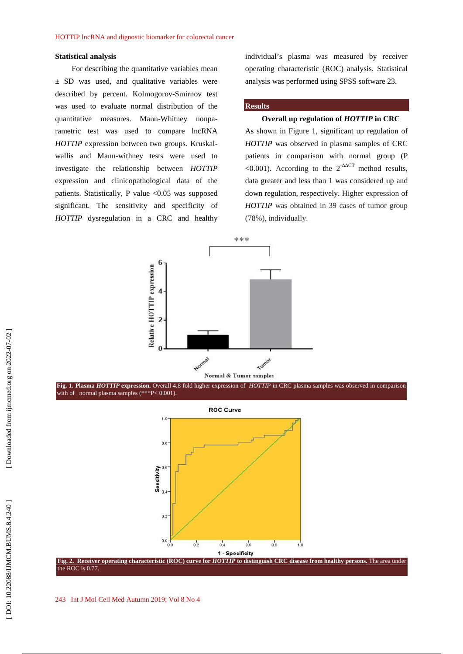#### **Statistical analysis**

For describing the quantitative variables mean  $\pm$  SD was used, and qualitative variables were described by percent. Kolmogorov-Smirnov test was used to evaluate normal distribution of the quantitative measures. Mann-Whitney nonparametric test was used to compare lncRNA *HOTTIP* expression between two groups. Kruskal wallis and Mann-withney tests were used to investigate the relationship between *HOTTIP* expression and clinicopathological data of the patients. Statistically, P value  $\langle 0.05 \rangle$  was supposed significant. The sensitivity and specificity of *HOTTIP* dysregulation in a CRC and healthy

individual's plasma was measured by receiver operating characteristic (ROC) analysis. Statistical analysis was performed using SPSS software 23.

#### **Results**

#### **Overall up regulation of** *HOTTIP* **in CRC**

As shown in Figure 1, significant up regulation of *HOTTIP* was observed in plasma samples of CRC patients in comparison with normal group (P  $\leq 0.001$ ). According to the 2<sup>- CT</sup> method results, data greater and less than 1 was considered up and down regulation, respectively. Higher expression of *HOTTIP* was obtained in 39 cases of tumor group (78%), individually.



**Fig. 1. Plasma** *HOTTIP* **expression.** Overall 4.8 fold higher expression of *HOTTIP* in CRC plasma samples was observed in comparison with of normal plasma samples (\*\*\*P< 0.001).



**Fig. 2. Receiver operating characteristic (ROC) curve for** *HOTTIP* **to distinguish CRC disease from healthy persons.** The area under the ROC is 0.77.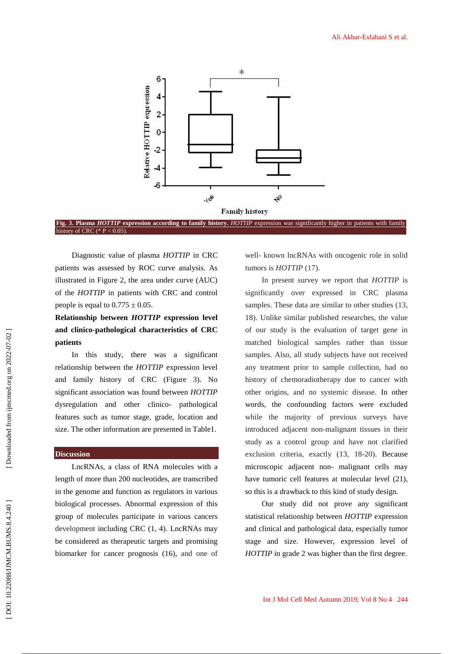

**Fig. 3. Plasma** *HOTTIP* **expression according to family history.** *HOTTIP* expression was significantly higher in patients with family history of CRC (\*  $P < 0.05$ )

Diagnostic value of plasma *HOTTIP* in CRC patients was assessed by ROC curve analysis. As illustrated in Figure 2, the area under curve (AUC) of the *HOTTIP* in patients with CRC and control people is equal to  $0.775 \pm 0.05$ .

# **Relationship between** *HOTTIP* **expression level and clinico-pathological characteristics of CRC patients**

In this study, there was a significant relationship between the *HOTTIP* expression level and family history of CRC (Figure 3). No significant association was found between *HOTTIP* dysregulation and other clinico- pathological features such as tumor stage, grade, location and size. The other information are presented in Table1.

## **Discussion**

LncRNAs, a class of RNA molecules with a length of more than 200 nucleotides, are transcribed in the genome and function as regulators in various biological processes. Abnormal expression of this group of molecules participate in various cancers development including CRC (1, 4). LncRNAs may be considered as therapeutic targets and promising biomarker for cancer prognosis (16), and one of well- known lncRNAs with oncogenic role in solid tumors is *HOTTIP* (17).

In present survey we report that *HOTTIP* is significantly over expressed in CRC plasma samples. These data are similar to other studies (13, 18). Unlike similar published researches, the value of our study is the evaluation of target gene in matched biological samples rather than tissue samples. Also, all study subjects have not received any treatment prior to sample collection, had no history of chemoradiotherapy due to cancer with other origins, and no systemic disease. In other words, the confounding factors were excluded while the majority of previous surveys have introduced adjacent non-malignant tissues in their study as a control group and have not clarified exclusion criteria, exactly (13, 18-20). Because microscopic adjacent non- malignant cells may have tumoric cell features at molecular level (21), so this is a drawback to this kind of study design.

Our study did not prove any significant statistical relationship between *HOTTIP* expression and clinical and pathological data, especially tumor stage and size. However, expression level of *HOTTIP* in grade 2 was higher than the first degree.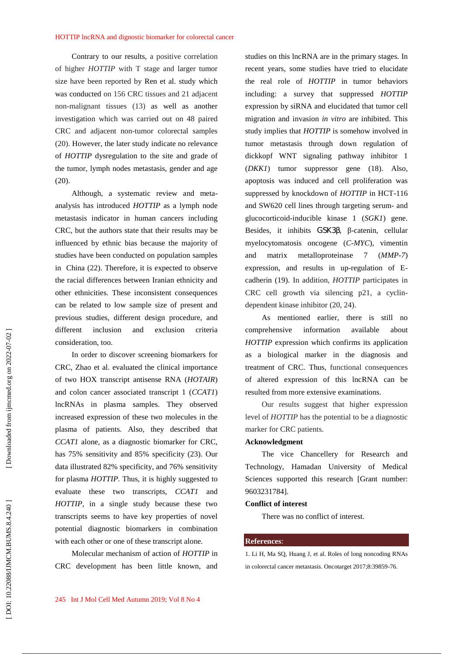Contrary to our results, a positive correlation of higher *HOTTIP* with T stage and larger tumor size have been reported by Ren et al. study which was conducted on 156 CRC tissues and 21 adjacent non-malignant tissues (13) as well as another investigation which was carried out on 48 paired CRC and adjacent non-tumor colorectal samples (20). However, the later study indicate no relevance of *HOTTIP* dysregulation to the site and grade of the tumor, lymph nodes metastasis, gender and age (20).

Although, a systematic review and meta analysis has introduced *HOTTIP* as a lymph node metastasis indicator in human cancers including CRC, but the authors state that their results may be influenced by ethnic bias because the majority of studies have been conducted on population samples in China (22). Therefore, it is expected to observe the racial differences between Iranian ethnicity and other ethnicities. These inconsistent consequences can be related to low sample size of present and previous studies, different design procedure, and different inclusion and exclusion criteria consideration, too.

In order to discover screening biomarkers for CRC, Zhao et al. evaluated the clinical importance of two HOX transcript antisense RNA (*HOTAIR*) and colon cancer associated transcript 1 (*CCAT1*) lncRNAs in plasma samples. They observed increased expression of these two molecules in the plasma of patients. Also, they described that *CCAT1* alone, as a diagnostic biomarker for CRC, has 75% sensitivity and 85% specificity (23). Our data illustrated 82% specificity, and 76% sensitivity for plasma *HOTTIP*. Thus, it is highly suggested to evaluate these two transcripts, *CCAT1* and *HOTTIP*, in a single study because these two transcripts seems to have key properties of novel potential diagnostic biomarkers in combination with each other or one of these transcript alone.

Molecular mechanism of action of *HOTTIP* in CRC development has been little known, and

studies on this lncRNA are in the primary stages. In recent years, some studies have tried to elucidate the real role of *HOTTIP* in tumor behaviors including: a survey that suppressed *HOTTIP* expression by siRNA and elucidated that tumor cell migration and invasion *in vitro* are inhibited. This study implies that *HOTTIP* is somehow involved in tumor metastasis through down regulation of dickkopf WNT signaling pathway inhibitor 1 (*DKK1*) tumor suppressor gene (18). Also, apoptosis was induced and cell proliferation was suppressed by knockdown of *HOTTIP* in HCT-116 and SW620 cell lines through targeting serum- and glucocorticoid-inducible kinase 1 (*SGK1*) gene. Besides, it inhibits *GSK3*, -catenin, cellular myelocytomatosis oncogene (*C-MYC*), vimentin and matrix metalloproteinase 7 (*MMP-7*) expression, and results in up-regulation of E cadherin (19). In addition, *HOTTIP* participates in CRC cell growth via silencing p21, a cyclin dependent kinase inhibitor (20, 24).

As mentioned earlier, there is still no comprehensive information available about *HOTTIP* expression which confirms its application as a biological marker in the diagnosis and treatment of CRC. Thus, functional consequences of altered expression of this lncRNA can be resulted from more extensive examinations.

Our results suggest that higher expression level of *HOTTIP* has the potential to be a diagnostic marker for CRC patients.

### **Acknowledgment**

The vice Chancellery for Research and Technology, Hamadan University of Medical Sciences supported this research [Grant number: 9603231784].

#### **Conflict of interest**

There was no conflict of interest.

## **References**:

1. Li H, Ma SQ, Huang J, et al. Roles of long noncoding RNAs in colorectal cancer metastasis. Oncotarget 2017;8:39859-76.